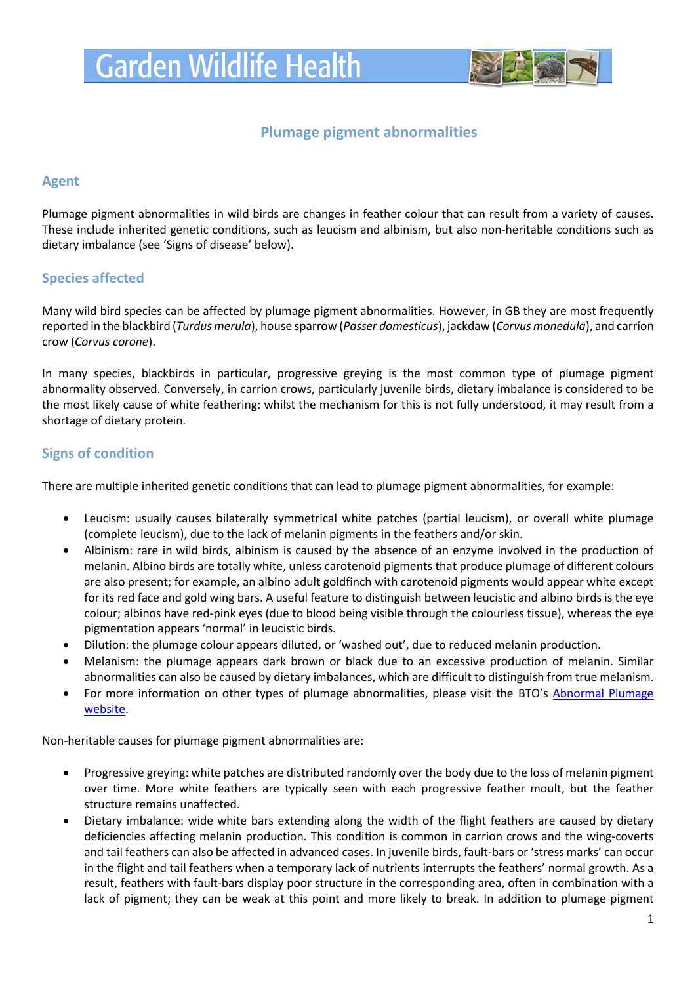

# **Plumage pigment abnormalities**

### **Agent**

Plumage pigment abnormalities in wild birds are changes in feather colour that can result from a variety of causes. These include inherited genetic conditions, such as leucism and albinism, but also non-heritable conditions such as dietary imbalance (see 'Signs of disease' below).

### **Species affected**

Many wild bird species can be affected by plumage pigment abnormalities. However, in GB they are most frequently reported in the blackbird (*Turdus merula*), house sparrow (*Passer domesticus*), jackdaw (*Corvus monedula*), and carrion crow (*Corvus corone*).

In many species, blackbirds in particular, progressive greying is the most common type of plumage pigment abnormality observed. Conversely, in carrion crows, particularly juvenile birds, dietary imbalance is considered to be the most likely cause of white feathering: whilst the mechanism for this is not fully understood, it may result from a shortage of dietary protein.

### **Signs of condition**

There are multiple inherited genetic conditions that can lead to plumage pigment abnormalities, for example:

- Leucism: usually causes bilaterally symmetrical white patches (partial leucism), or overall white plumage (complete leucism), due to the lack of melanin pigments in the feathers and/or skin.
- Albinism: rare in wild birds, albinism is caused by the absence of an enzyme involved in the production of melanin. Albino birds are totally white, unless carotenoid pigments that produce plumage of different colours are also present; for example, an albino adult goldfinch with carotenoid pigments would appear white except for its red face and gold wing bars. A useful feature to distinguish between leucistic and albino birds is the eye colour; albinos have red-pink eyes (due to blood being visible through the colourless tissue), whereas the eye pigmentation appears 'normal' in leucistic birds.
- Dilution: the plumage colour appears diluted, or 'washed out', due to reduced melanin production.
- Melanism: the plumage appears dark brown or black due to an excessive production of melanin. Similar abnormalities can also be caused by dietary imbalances, which are difficult to distinguish from true melanism.
- For more information on other types of plumage abnormalities, please visit the BTO's Abnormal Plumage [website.](https://www.bto.org/volunteer-surveys/gbw/about/background/projects/plumage)

Non-heritable causes for plumage pigment abnormalities are:

- Progressive greying: white patches are distributed randomly over the body due to the loss of melanin pigment over time. More white feathers are typically seen with each progressive feather moult, but the feather structure remains unaffected.
- Dietary imbalance: wide white bars extending along the width of the flight feathers are caused by dietary deficiencies affecting melanin production. This condition is common in carrion crows and the wing-coverts and tail feathers can also be affected in advanced cases. In juvenile birds, fault-bars or 'stress marks' can occur in the flight and tail feathers when a temporary lack of nutrients interrupts the feathers' normal growth. As a result, feathers with fault-bars display poor structure in the corresponding area, often in combination with a lack of pigment; they can be weak at this point and more likely to break. In addition to plumage pigment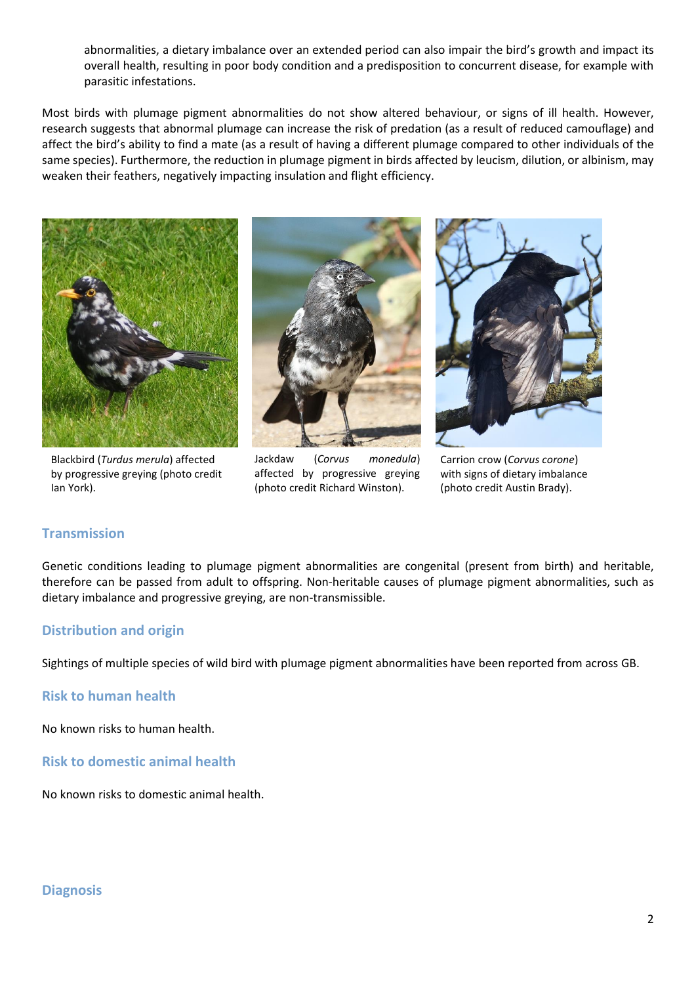abnormalities, a dietary imbalance over an extended period can also impair the bird's growth and impact its overall health, resulting in poor body condition and a predisposition to concurrent disease, for example with parasitic infestations.

Most birds with plumage pigment abnormalities do not show altered behaviour, or signs of ill health. However, research suggests that abnormal plumage can increase the risk of predation (as a result of reduced camouflage) and affect the bird's ability to find a mate (as a result of having a different plumage compared to other individuals of the same species). Furthermore, the reduction in plumage pigment in birds affected by leucism, dilution, or albinism, may weaken their feathers, negatively impacting insulation and flight efficiency.



Blackbird (*Turdus merula*) affected by progressive greying (photo credit Ian York).



Jackdaw (*Corvus monedula*) affected by progressive greying (photo credit Richard Winston).



Carrion crow (*Corvus corone*) with signs of dietary imbalance (photo credit Austin Brady).

### **Transmission**

Genetic conditions leading to plumage pigment abnormalities are congenital (present from birth) and heritable, therefore can be passed from adult to offspring. Non-heritable causes of plumage pigment abnormalities, such as dietary imbalance and progressive greying, are non-transmissible.

### **Distribution and origin**

Sightings of multiple species of wild bird with plumage pigment abnormalities have been reported from across GB.

**Risk to human health**

No known risks to human health.

**Risk to domestic animal health**

No known risks to domestic animal health.

#### **Diagnosis**